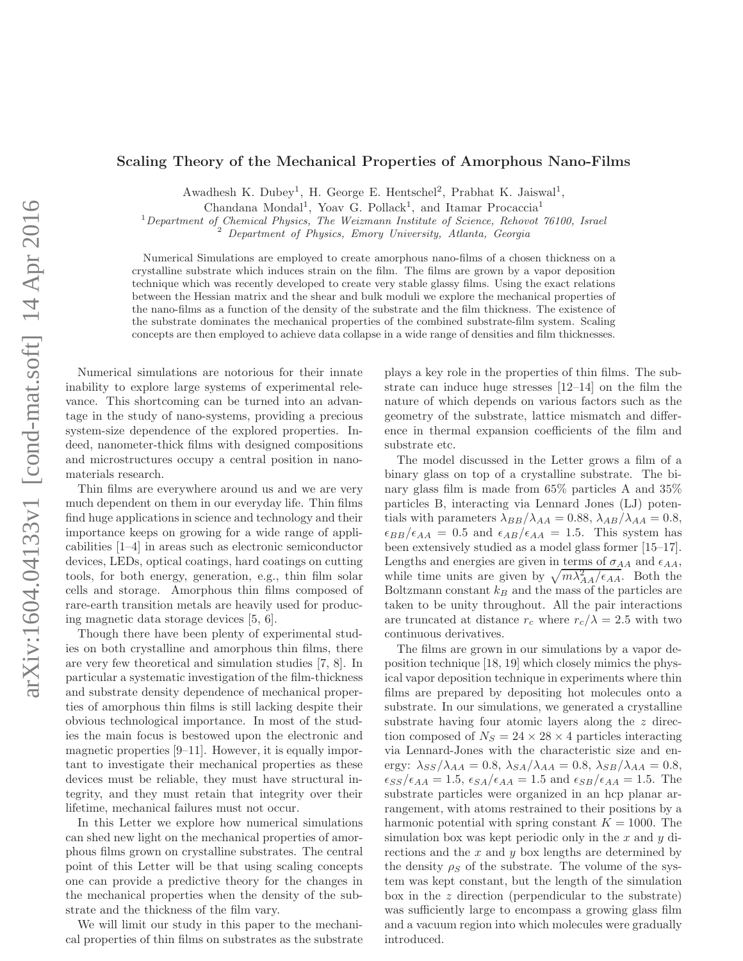## Scaling Theory of the Mechanical Properties of Amorphous Nano-Films

Awadhesh K. Dubey<sup>1</sup>, H. George E. Hentschel<sup>2</sup>, Prabhat K. Jaiswal<sup>1</sup>,

Chandana Mondal<sup>1</sup>, Yoav G. Pollack<sup>1</sup>, and Itamar Procaccia<sup>1</sup>

 $1$ Department of Chemical Physics, The Weizmann Institute of Science, Rehovot 76100, Israel

 $2$  Department of Physics, Emory University, Atlanta, Georgia

Numerical Simulations are employed to create amorphous nano-films of a chosen thickness on a crystalline substrate which induces strain on the film. The films are grown by a vapor deposition technique which was recently developed to create very stable glassy films. Using the exact relations between the Hessian matrix and the shear and bulk moduli we explore the mechanical properties of the nano-films as a function of the density of the substrate and the film thickness. The existence of the substrate dominates the mechanical properties of the combined substrate-film system. Scaling concepts are then employed to achieve data collapse in a wide range of densities and film thicknesses.

Numerical simulations are notorious for their innate inability to explore large systems of experimental relevance. This shortcoming can be turned into an advantage in the study of nano-systems, providing a precious system-size dependence of the explored properties. Indeed, nanometer-thick films with designed compositions and microstructures occupy a central position in nanomaterials research.

Thin films are everywhere around us and we are very much dependent on them in our everyday life. Thin films find huge applications in science and technology and their importance keeps on growing for a wide range of applicabilities [1–4] in areas such as electronic semiconductor devices, LEDs, optical coatings, hard coatings on cutting tools, for both energy, generation, e.g., thin film solar cells and storage. Amorphous thin films composed of rare-earth transition metals are heavily used for producing magnetic data storage devices [5, 6].

Though there have been plenty of experimental studies on both crystalline and amorphous thin films, there are very few theoretical and simulation studies [7, 8]. In particular a systematic investigation of the film-thickness and substrate density dependence of mechanical properties of amorphous thin films is still lacking despite their obvious technological importance. In most of the studies the main focus is bestowed upon the electronic and magnetic properties [9–11]. However, it is equally important to investigate their mechanical properties as these devices must be reliable, they must have structural integrity, and they must retain that integrity over their lifetime, mechanical failures must not occur.

In this Letter we explore how numerical simulations can shed new light on the mechanical properties of amorphous films grown on crystalline substrates. The central point of this Letter will be that using scaling concepts one can provide a predictive theory for the changes in the mechanical properties when the density of the substrate and the thickness of the film vary.

We will limit our study in this paper to the mechanical properties of thin films on substrates as the substrate

plays a key role in the properties of thin films. The substrate can induce huge stresses [12–14] on the film the nature of which depends on various factors such as the geometry of the substrate, lattice mismatch and difference in thermal expansion coefficients of the film and substrate etc.

The model discussed in the Letter grows a film of a binary glass on top of a crystalline substrate. The binary glass film is made from 65% particles A and 35% particles B, interacting via Lennard Jones (LJ) potentials with parameters  $\lambda_{BB}/\lambda_{AA} = 0.88$ ,  $\lambda_{AB}/\lambda_{AA} = 0.8$ ,  $\epsilon_{BB}/\epsilon_{AA} = 0.5$  and  $\epsilon_{AB}/\epsilon_{AA} = 1.5$ . This system has been extensively studied as a model glass former [15–17]. Lengths and energies are given in terms of  $\sigma_{AA}$  and  $\epsilon_{AA}$ , while time units are given by  $\sqrt{m\lambda_{AA}^2/\epsilon_{AA}}$ . Both the Boltzmann constant  $k_B$  and the mass of the particles are taken to be unity throughout. All the pair interactions are truncated at distance  $r_c$  where  $r_c/\lambda = 2.5$  with two continuous derivatives.

The films are grown in our simulations by a vapor deposition technique [18, 19] which closely mimics the physical vapor deposition technique in experiments where thin films are prepared by depositing hot molecules onto a substrate. In our simulations, we generated a crystalline substrate having four atomic layers along the z direction composed of  $N_S = 24 \times 28 \times 4$  particles interacting via Lennard-Jones with the characteristic size and energy:  $\lambda_{SS}/\lambda_{AA} = 0.8$ ,  $\lambda_{SA}/\lambda_{AA} = 0.8$ ,  $\lambda_{SB}/\lambda_{AA} = 0.8$ ,  $\epsilon_{SS}/\epsilon_{AA} = 1.5$ ,  $\epsilon_{SA}/\epsilon_{AA} = 1.5$  and  $\epsilon_{SB}/\epsilon_{AA} = 1.5$ . The substrate particles were organized in an hcp planar arrangement, with atoms restrained to their positions by a harmonic potential with spring constant  $K = 1000$ . The simulation box was kept periodic only in the x and y directions and the  $x$  and  $y$  box lengths are determined by the density  $\rho_S$  of the substrate. The volume of the system was kept constant, but the length of the simulation box in the z direction (perpendicular to the substrate) was sufficiently large to encompass a growing glass film and a vacuum region into which molecules were gradually introduced.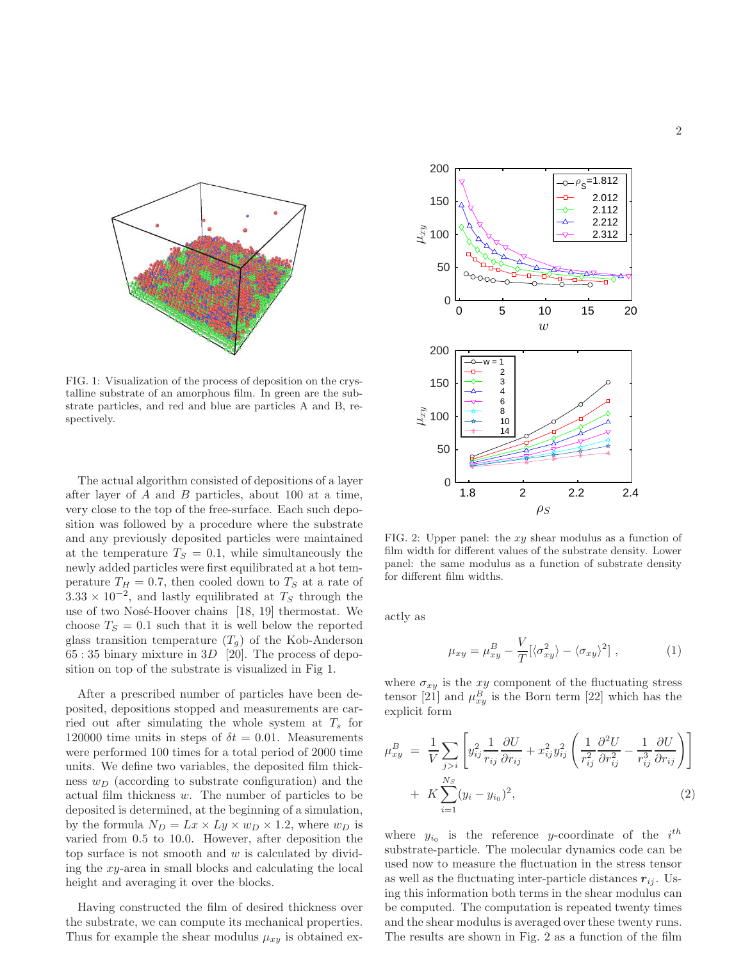

FIG. 1: Visualization of the process of deposition on the crystalline substrate of an amorphous film. In green are the substrate particles, and red and blue are particles A and B, respectively.

The actual algorithm consisted of depositions of a layer after layer of A and B particles, about 100 at a time, very close to the top of the free-surface. Each such deposition was followed by a procedure where the substrate and any previously deposited particles were maintained at the temperature  $T<sub>S</sub> = 0.1$ , while simultaneously the newly added particles were first equilibrated at a hot temperature  $T_H = 0.7$ , then cooled down to  $T_S$  at a rate of  $3.33 \times 10^{-2}$ , and lastly equilibrated at  $T_s$  through the use of two Nosé-Hoover chains  $[18, 19]$  thermostat. We choose  $T<sub>S</sub> = 0.1$  such that it is well below the reported glass transition temperature  $(T_g)$  of the Kob-Anderson  $65:35$  binary mixture in  $3D$  [20]. The process of deposition on top of the substrate is visualized in Fig 1.

After a prescribed number of particles have been deposited, depositions stopped and measurements are carried out after simulating the whole system at  $T_s$  for 120000 time units in steps of  $\delta t = 0.01$ . Measurements were performed 100 times for a total period of 2000 time units. We define two variables, the deposited film thickness  $w_D$  (according to substrate configuration) and the actual film thickness w. The number of particles to be deposited is determined, at the beginning of a simulation, by the formula  $N_D = Lx \times Ly \times w_D \times 1.2$ , where  $w_D$  is varied from 0.5 to 10.0. However, after deposition the top surface is not smooth and  $w$  is calculated by dividing the xy-area in small blocks and calculating the local height and averaging it over the blocks.

Having constructed the film of desired thickness over the substrate, we can compute its mechanical properties. Thus for example the shear modulus  $\mu_{xy}$  is obtained ex-



FIG. 2: Upper panel: the  $xy$  shear modulus as a function of film width for different values of the substrate density. Lower panel: the same modulus as a function of substrate density for different film widths.

actly as

$$
\mu_{xy} = \mu_{xy}^B - \frac{V}{T} [\langle \sigma_{xy}^2 \rangle - \langle \sigma_{xy} \rangle^2], \qquad (1)
$$

where  $\sigma_{xy}$  is the xy component of the fluctuating stress tensor [21] and  $\mu_{xy}^B$  is the Born term [22] which has the explicit form

$$
\mu_{xy}^B = \frac{1}{V} \sum_{j>i} \left[ y_{ij}^2 \frac{1}{r_{ij}} \frac{\partial U}{\partial r_{ij}} + x_{ij}^2 y_{ij}^2 \left( \frac{1}{r_{ij}^2} \frac{\partial^2 U}{\partial r_{ij}^2} - \frac{1}{r_{ij}^3} \frac{\partial U}{\partial r_{ij}} \right) \right] + K \sum_{i=1}^{N_S} (y_i - y_{i_0})^2,
$$
\n(2)

where  $y_{i_0}$  is the reference y-coordinate of the  $i^{th}$ substrate-particle. The molecular dynamics code can be used now to measure the fluctuation in the stress tensor as well as the fluctuating inter-particle distances  $r_{ij}$ . Using this information both terms in the shear modulus can be computed. The computation is repeated twenty times and the shear modulus is averaged over these twenty runs. The results are shown in Fig. 2 as a function of the film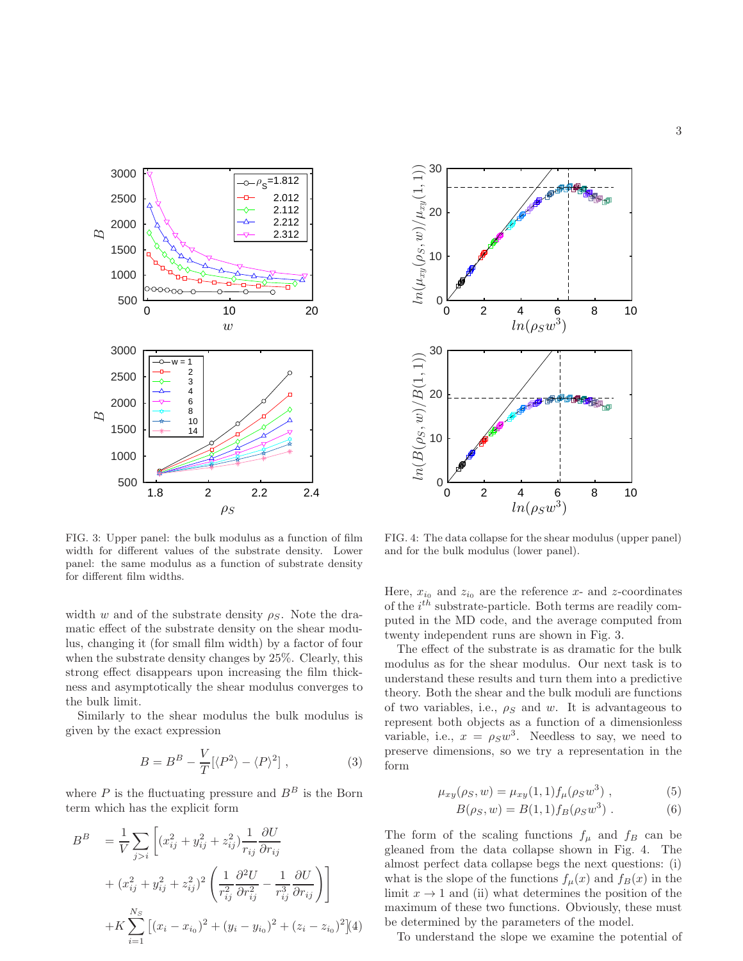

FIG. 3: Upper panel: the bulk modulus as a function of film width for different values of the substrate density. Lower panel: the same modulus as a function of substrate density for different film widths.

width w and of the substrate density  $\rho_S$ . Note the dramatic effect of the substrate density on the shear modulus, changing it (for small film width) by a factor of four when the substrate density changes by 25%. Clearly, this strong effect disappears upon increasing the film thickness and asymptotically the shear modulus converges to the bulk limit.

Similarly to the shear modulus the bulk modulus is given by the exact expression

$$
B = BB - \frac{V}{T} [\langle P^2 \rangle - \langle P \rangle^2], \qquad (3)
$$

where  $P$  is the fluctuating pressure and  $B^B$  is the Born term which has the explicit form

$$
B^{B} = \frac{1}{V} \sum_{j>i} \left[ (x_{ij}^{2} + y_{ij}^{2} + z_{ij}^{2}) \frac{1}{r_{ij}} \frac{\partial U}{\partial r_{ij}} + (x_{ij}^{2} + y_{ij}^{2} + z_{ij}^{2})^{2} \left( \frac{1}{r_{ij}^{2}} \frac{\partial^{2} U}{\partial r_{ij}^{2}} - \frac{1}{r_{ij}^{3}} \frac{\partial U}{\partial r_{ij}} \right) \right] + K \sum_{i=1}^{N_{S}} \left[ (x_{i} - x_{i_{0}})^{2} + (y_{i} - y_{i_{0}})^{2} + (z_{i} - z_{i_{0}})^{2} \right] (4)
$$



FIG. 4: The data collapse for the shear modulus (upper panel) and for the bulk modulus (lower panel).

Here,  $x_{i_0}$  and  $z_{i_0}$  are the reference x- and z-coordinates of the  $i^{th}$  substrate-particle. Both terms are readily computed in the MD code, and the average computed from twenty independent runs are shown in Fig. 3.

The effect of the substrate is as dramatic for the bulk modulus as for the shear modulus. Our next task is to understand these results and turn them into a predictive theory. Both the shear and the bulk moduli are functions of two variables, i.e.,  $\rho_S$  and w. It is advantageous to represent both objects as a function of a dimensionless variable, i.e.,  $x = \rho_S w^3$ . Needless to say, we need to preserve dimensions, so we try a representation in the form

$$
\mu_{xy}(\rho_S, w) = \mu_{xy}(1, 1) f_{\mu}(\rho_S w^3) , \qquad (5)
$$

$$
B(\rho_S, w) = B(1, 1) f_B(\rho_S w^3) . \tag{6}
$$

The form of the scaling functions  $f_{\mu}$  and  $f_{B}$  can be gleaned from the data collapse shown in Fig. 4. The almost perfect data collapse begs the next questions: (i) what is the slope of the functions  $f_{\mu}(x)$  and  $f_{B}(x)$  in the limit  $x \to 1$  and (ii) what determines the position of the maximum of these two functions. Obviously, these must be determined by the parameters of the model.

To understand the slope we examine the potential of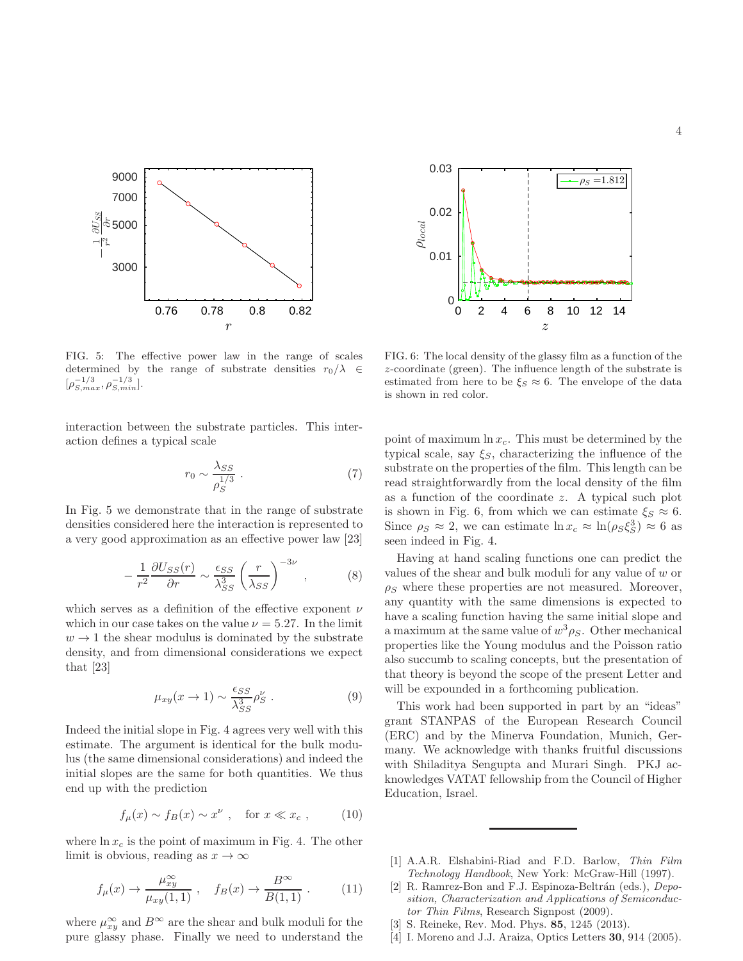

z 0 2 4 6 8 10 12 14  $\rho_{local}$ 0 0.01 0.02  $\rho_S = 1.812$ 

0.03

FIG. 5: The effective power law in the range of scales determined by the range of substrate densities  $r_0/\lambda \in$  $[\rho_{S,max}^{-1/3}, \rho_{S,min}^{-1/3}].$ 

interaction between the substrate particles. This interaction defines a typical scale

$$
r_0 \sim \frac{\lambda_{SS}}{\rho_S^{1/3}} \ . \tag{7}
$$

In Fig. 5 we demonstrate that in the range of substrate densities considered here the interaction is represented to a very good approximation as an effective power law [23]

$$
-\frac{1}{r^2}\frac{\partial U_{SS}(r)}{\partial r} \sim \frac{\epsilon_{SS}}{\lambda_{SS}^3} \left(\frac{r}{\lambda_{SS}}\right)^{-3\nu},\tag{8}
$$

which serves as a definition of the effective exponent  $\nu$ which in our case takes on the value  $\nu = 5.27$ . In the limit  $w \rightarrow 1$  the shear modulus is dominated by the substrate density, and from dimensional considerations we expect that [23]

$$
\mu_{xy}(x \to 1) \sim \frac{\epsilon_{SS}}{\lambda_{SS}^3} \rho_S^{\nu} . \tag{9}
$$

Indeed the initial slope in Fig. 4 agrees very well with this estimate. The argument is identical for the bulk modulus (the same dimensional considerations) and indeed the initial slopes are the same for both quantities. We thus end up with the prediction

$$
f_{\mu}(x) \sim f_B(x) \sim x^{\nu} , \quad \text{for } x \ll x_c , \qquad (10)
$$

where  $\ln x_c$  is the point of maximum in Fig. 4. The other limit is obvious, reading as  $x \to \infty$ 

$$
f_{\mu}(x) \to \frac{\mu_{xy}^{\infty}}{\mu_{xy}(1,1)}, \quad f_B(x) \to \frac{B^{\infty}}{B(1,1)}.
$$
 (11)

where  $\mu_{xy}^{\infty}$  and  $B^{\infty}$  are the shear and bulk moduli for the pure glassy phase. Finally we need to understand the

FIG. 6: The local density of the glassy film as a function of the z-coordinate (green). The influence length of the substrate is estimated from here to be  $\xi_S \approx 6$ . The envelope of the data is shown in red color.

point of maximum  $\ln x_c$ . This must be determined by the typical scale, say  $\xi_s$ , characterizing the influence of the substrate on the properties of the film. This length can be read straightforwardly from the local density of the film as a function of the coordinate z. A typical such plot is shown in Fig. 6, from which we can estimate  $\xi_s \approx 6$ . Since  $\rho_S \approx 2$ , we can estimate  $\ln x_c \approx \ln(\rho_S \xi_S^3) \approx 6$  as seen indeed in Fig. 4.

Having at hand scaling functions one can predict the values of the shear and bulk moduli for any value of w or  $\rho_S$  where these properties are not measured. Moreover, any quantity with the same dimensions is expected to have a scaling function having the same initial slope and a maximum at the same value of  $w^3 \rho_S$ . Other mechanical properties like the Young modulus and the Poisson ratio also succumb to scaling concepts, but the presentation of that theory is beyond the scope of the present Letter and will be expounded in a forthcoming publication.

This work had been supported in part by an "ideas" grant STANPAS of the European Research Council (ERC) and by the Minerva Foundation, Munich, Germany. We acknowledge with thanks fruitful discussions with Shiladitya Sengupta and Murari Singh. PKJ acknowledges VATAT fellowship from the Council of Higher Education, Israel.

- [1] A.A.R. Elshabini-Riad and F.D. Barlow, Thin Film Technology Handbook, New York: McGraw-Hill (1997).
- [2] R. Ramrez-Bon and F.J. Espinoza-Beltrán (eds.), Deposition, Characterization and Applications of Semiconductor Thin Films, Research Signpost (2009).
- [3] S. Reineke, Rev. Mod. Phys. 85, 1245 (2013).
- [4] I. Moreno and J.J. Araiza, Optics Letters 30, 914 (2005).